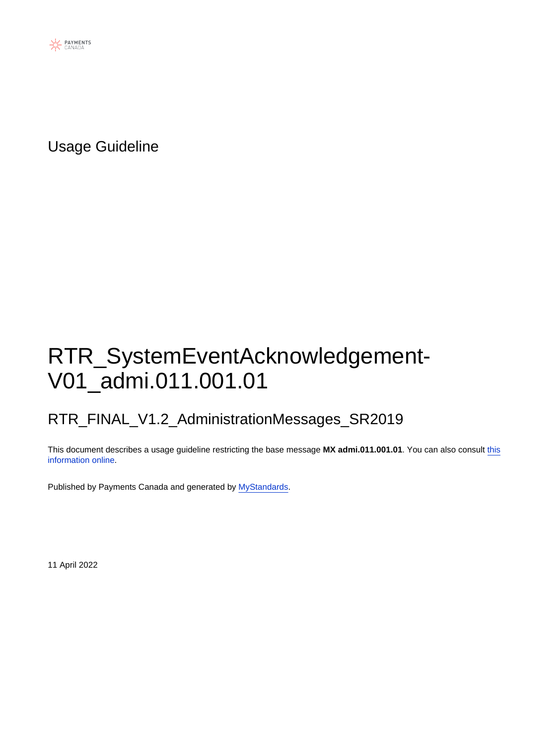

Usage Guideline

# RTR\_SystemEventAcknowledgement-V01\_admi.011.001.01

### RTR\_FINAL\_V1.2\_AdministrationMessages\_SR2019

This document describes a usage guideline restricting the base message **MX admi.011.001.01**. You can also consult [this](https://www2.swift.com/mystandards/#/mp/mx/_L7ETDp8bEeyX2-3WgfEAkg/version/3/_L7E6AJ8bEeyX2-3WgfEAkg) [information online](https://www2.swift.com/mystandards/#/mp/mx/_L7ETDp8bEeyX2-3WgfEAkg/version/3/_L7E6AJ8bEeyX2-3WgfEAkg).

Published by Payments Canada and generated by [MyStandards](http://www.swift.com/mystandards).

11 April 2022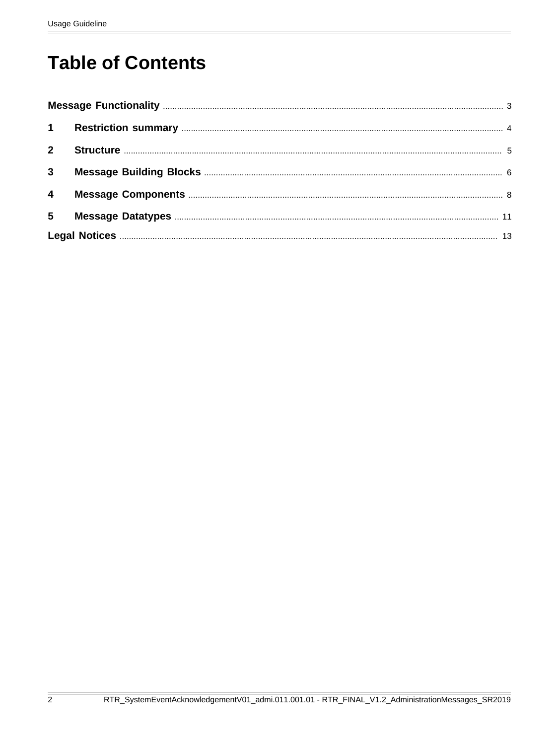# **Table of Contents**

| $2^{\circ}$             |  |
|-------------------------|--|
| $\mathbf{3}$            |  |
| $\overline{\mathbf{4}}$ |  |
| 5                       |  |
|                         |  |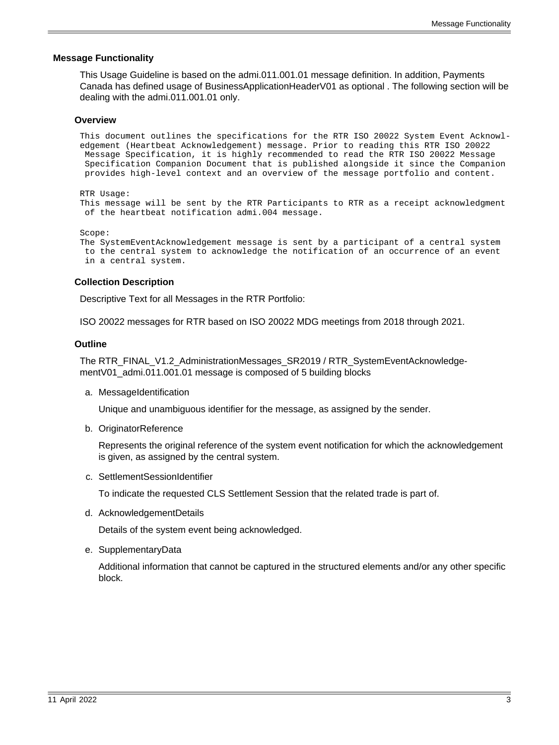#### <span id="page-2-0"></span> **Message Functionality**

This Usage Guideline is based on the admi.011.001.01 message definition. In addition, Payments Canada has defined usage of BusinessApplicationHeaderV01 as optional . The following section will be dealing with the admi.011.001.01 only.

#### **Overview**

This document outlines the specifications for the RTR ISO 20022 System Event Acknowledgement (Heartbeat Acknowledgement) message. Prior to reading this RTR ISO 20022 Message Specification, it is highly recommended to read the RTR ISO 20022 Message Specification Companion Document that is published alongside it since the Companion provides high-level context and an overview of the message portfolio and content.

```
RTR Usage:
```
This message will be sent by the RTR Participants to RTR as a receipt acknowledgment of the heartbeat notification admi.004 message.

Scope:

```
The SystemEventAcknowledgement message is sent by a participant of a central system
 to the central system to acknowledge the notification of an occurrence of an event
 in a central system.
```
#### **Collection Description**

Descriptive Text for all Messages in the RTR Portfolio:

ISO 20022 messages for RTR based on ISO 20022 MDG meetings from 2018 through 2021.

#### **Outline**

The RTR\_FINAL\_V1.2\_AdministrationMessages\_SR2019 / RTR\_SystemEventAcknowledgementV01\_admi.011.001.01 message is composed of 5 building blocks

a. MessageIdentification

Unique and unambiguous identifier for the message, as assigned by the sender.

b. OriginatorReference

Represents the original reference of the system event notification for which the acknowledgement is given, as assigned by the central system.

c. SettlementSessionIdentifier

To indicate the requested CLS Settlement Session that the related trade is part of.

d. AcknowledgementDetails

Details of the system event being acknowledged.

e. SupplementaryData

Additional information that cannot be captured in the structured elements and/or any other specific block.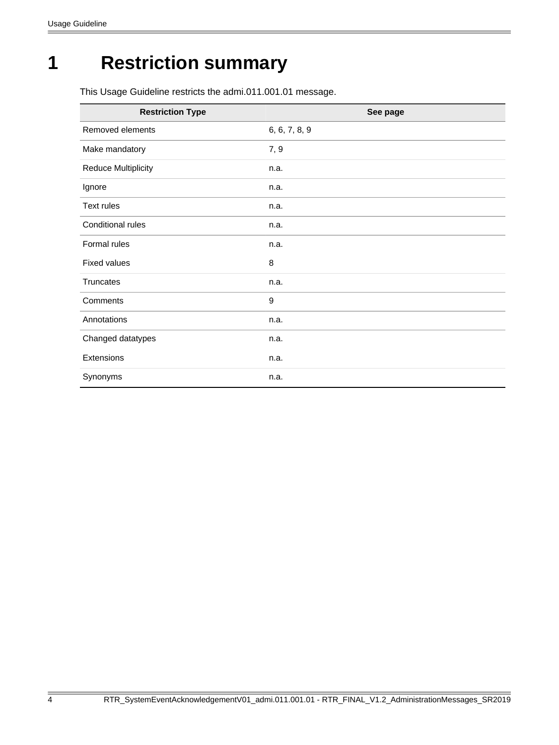# <span id="page-3-0"></span>**1 Restriction summary**

This Usage Guideline restricts the admi.011.001.01 message.

| <b>Restriction Type</b>    | See page      |
|----------------------------|---------------|
| Removed elements           | 6, 6, 7, 8, 9 |
| Make mandatory             | 7, 9          |
| <b>Reduce Multiplicity</b> | n.a.          |
| Ignore                     | n.a.          |
| Text rules                 | n.a.          |
| Conditional rules          | n.a.          |
| Formal rules               | n.a.          |
| <b>Fixed values</b>        | 8             |
| <b>Truncates</b>           | n.a.          |
| Comments                   | 9             |
| Annotations                | n.a.          |
| Changed datatypes          | n.a.          |
| Extensions                 | n.a.          |
| Synonyms                   | n.a.          |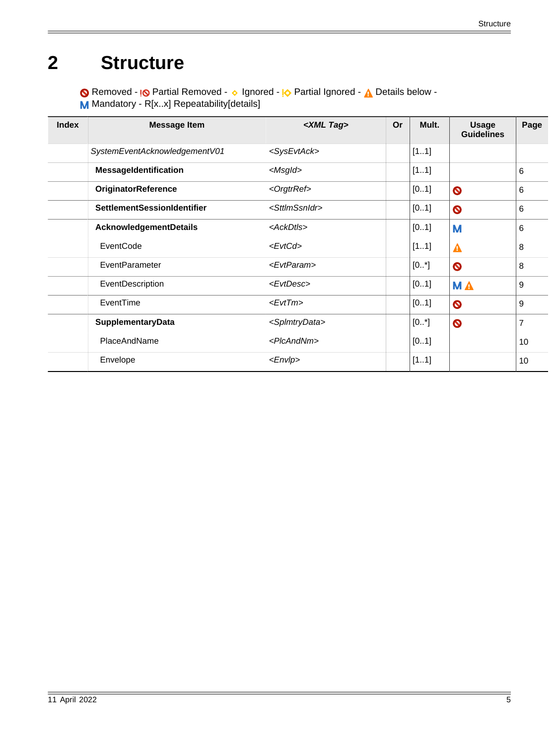# <span id="page-4-0"></span>**2 Structure**

Removed - <sub>!</sub>© Partial Removed - 
o Ignored - <u>I</u> $\Diamond$  Partial Ignored - 
<u>A</u> Details below -

M Mandatory - R[x..x] Repeatability[details]

| <b>Index</b> | <b>Message Item</b>                | $\angle$ XML Tag>           | Or | Mult.    | <b>Usage</b><br><b>Guidelines</b> | Page           |
|--------------|------------------------------------|-----------------------------|----|----------|-----------------------------------|----------------|
|              | SystemEventAcknowledgementV01      | <sysevtack></sysevtack>     |    | [11]     |                                   |                |
|              | MessageIdentification              | $<$ Msgld>                  |    | [11]     |                                   | 6              |
|              | <b>OriginatorReference</b>         | <orgtrref></orgtrref>       |    | [01]     | $\bullet$                         | 6              |
|              | <b>SettlementSessionIdentifier</b> | <sttlmssnidr></sttlmssnidr> |    | [01]     | $\bullet$                         | 6              |
|              | AcknowledgementDetails             | <ackdtls></ackdtls>         |    | [01]     | M                                 | 6              |
|              | EventCode                          | <evtcd></evtcd>             |    | [11]     | Α                                 | 8              |
|              | EventParameter                     | <evtparam></evtparam>       |    | $[0, *]$ | $\bullet$                         | 8              |
|              | EventDescription                   | <evtdesc></evtdesc>         |    | [01]     | <b>MA</b>                         | 9              |
|              | EventTime                          | $<$ Evt $Tm$ >              |    | [01]     | $\bullet$                         | 9              |
|              | SupplementaryData                  | <splmtrydata></splmtrydata> |    | [0.1]    | $\bullet$                         | $\overline{7}$ |
|              | PlaceAndName                       | <plcandnm></plcandnm>       |    | [01]     |                                   | 10             |
|              | Envelope                           | $<$ <i>Envlp</i> >          |    | [11]     |                                   | 10             |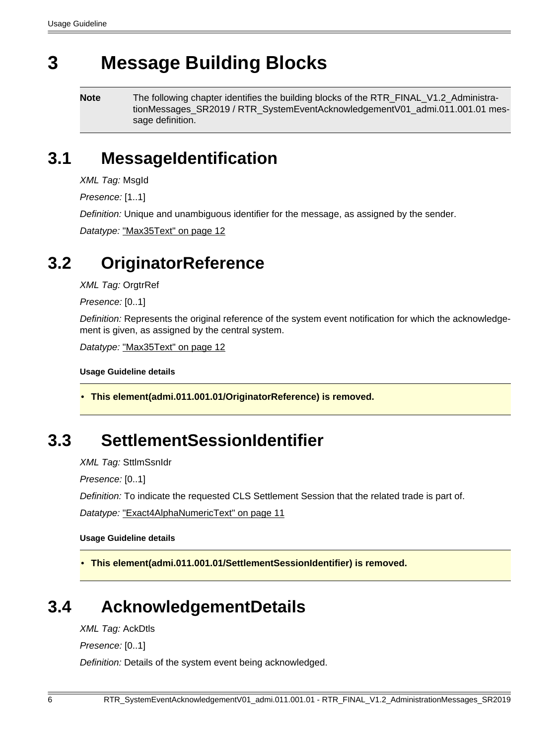# <span id="page-5-0"></span>**3 Message Building Blocks**

**Note** The following chapter identifies the building blocks of the RTR\_FINAL\_V1.2\_AdministrationMessages\_SR2019 / RTR\_SystemEventAcknowledgementV01\_admi.011.001.01 message definition.

### <span id="page-5-3"></span>**3.1 MessageIdentification**

XML Tag: MsgId

Presence: [1..1]

Definition: Unique and unambiguous identifier for the message, as assigned by the sender.

Datatype: ["Max35Text" on page 12](#page-11-0)

### <span id="page-5-4"></span>**3.2 OriginatorReference**

XML Tag: OrgtrRef

Presence: [0..1]

Definition: Represents the original reference of the system event notification for which the acknowledgement is given, as assigned by the central system.

Datatype: ["Max35Text" on page 12](#page-11-0)

**Usage Guideline details**

<span id="page-5-1"></span>• **This element(admi.011.001.01/OriginatorReference) is removed.**

### <span id="page-5-5"></span>**3.3 SettlementSessionIdentifier**

XML Tag: SttlmSsnIdr

Presence: [0..1]

Definition: To indicate the requested CLS Settlement Session that the related trade is part of.

Datatype: ["Exact4AlphaNumericText" on page 11](#page-10-1)

**Usage Guideline details**

<span id="page-5-2"></span>• **This element(admi.011.001.01/SettlementSessionIdentifier) is removed.**

# <span id="page-5-6"></span>**3.4 AcknowledgementDetails**

XML Tag: AckDtls

Presence: [0..1]

Definition: Details of the system event being acknowledged.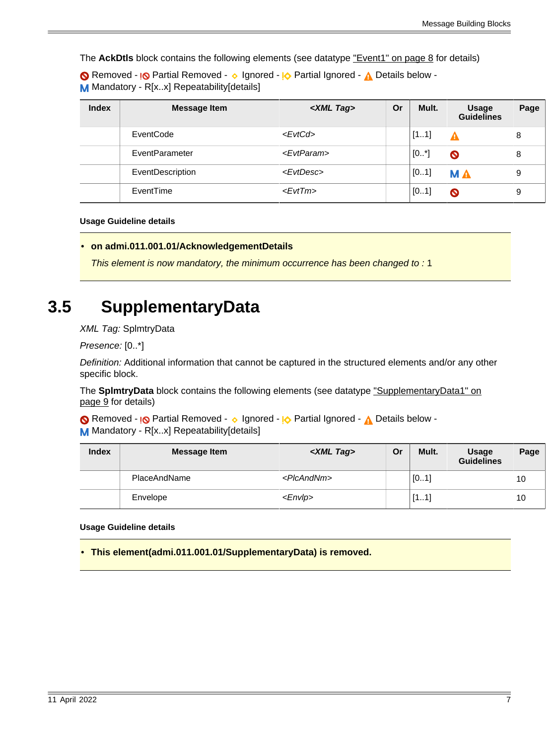The **AckDtls** block contains the following elements (see datatype ["Event1" on page 8](#page-7-5) for details)

Removed - <sub>!</sub>© Partial Removed - 
o Ignored - <sup>1</sup>

<sub>2</sub> Partial Ignored - 
<sub>1</sub>

<sub>2</sub> Details below -M Mandatory - R[x.x] Repeatability[details]

| <b>Index</b> | <b>Message Item</b> | <xml tag=""></xml>    | Or | Mult. | <b>Usage</b><br><b>Guidelines</b> | Page |
|--------------|---------------------|-----------------------|----|-------|-----------------------------------|------|
|              | EventCode           | $<$ EvtCd>            |    | [11]  | A                                 | 8    |
|              | EventParameter      | <evtparam></evtparam> |    | [0.1] | $\bullet$                         | 8    |
|              | EventDescription    | <evtdesc></evtdesc>   |    | [01]  | <b>MA</b>                         | 9    |
|              | EventTime           | $<$ Evt $Tm$ >        |    | [01]  | $\boldsymbol{\mathsf{O}}$         | 9    |

#### **Usage Guideline details**

<span id="page-6-1"></span>• **on admi.011.001.01/AcknowledgementDetails**

This element is now mandatory, the minimum occurrence has been changed to : 1

### <span id="page-6-2"></span>**3.5 SupplementaryData**

XML Tag: SplmtryData

Presence: [0..\*]

Definition: Additional information that cannot be captured in the structured elements and/or any other specific block.

The **SplmtryData** block contains the following elements (see datatype ["SupplementaryData1" on](#page-8-5) [page 9](#page-8-5) for details)

Removed - <sub>!</sub>© Partial Removed - 
o Ignored - <u>I</u> $\Diamond$  Partial Ignored - 
<u>A</u> Details below -M Mandatory - R[x.x] Repeatability[details]

| <b>Index</b> | <b>Message Item</b> | <xml tag=""></xml>    | Or | Mult. | <b>Usage</b><br><b>Guidelines</b> | Page |
|--------------|---------------------|-----------------------|----|-------|-----------------------------------|------|
|              | PlaceAndName        | <picandnm></picandnm> |    | [01]  |                                   | 10   |
|              | Envelope            | $<$ <i>Envlp</i> >    |    | [11]  |                                   | 10   |

#### **Usage Guideline details**

<span id="page-6-0"></span>• **This element(admi.011.001.01/SupplementaryData) is removed.**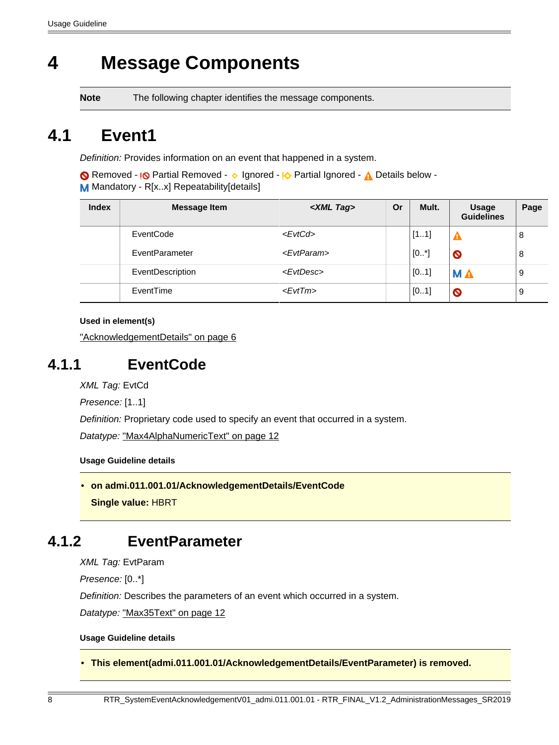# <span id="page-7-0"></span>**4 Message Components**

**Note** The following chapter identifies the message components.

# <span id="page-7-5"></span>**4.1 Event1**

Definition: Provides information on an event that happened in a system.

Removed - <sub>!</sub>© Partial Removed - 
o Ignored - <u>I</u> $\Diamond$  Partial Ignored - 
<u>A</u> Details below -M Mandatory - R[x.x] Repeatability[details]

| <b>Index</b> | <b>Message Item</b> | <xml tag=""></xml>    | Or | Mult.   | <b>Usage</b><br><b>Guidelines</b> | Page |
|--------------|---------------------|-----------------------|----|---------|-----------------------------------|------|
|              | EventCode           | <evtcd></evtcd>       |    | [11]    |                                   | 8    |
|              | EventParameter      | <evtparam></evtparam> |    | $[0^*]$ | $\bullet$                         | 8    |
|              | EventDescription    | <evtdesc></evtdesc>   |    | [01]    | <b>MA</b>                         | 9    |
|              | EventTime           | $<$ Evt $Tm$ >        |    | [01]    | $\bullet$                         | 9    |

**Used in element(s)**

["AcknowledgementDetails" on page 6](#page-5-6)

### <span id="page-7-3"></span>**4.1.1 EventCode**

XML Tag: EvtCd

Presence: [1..1]

Definition: Proprietary code used to specify an event that occurred in a system.

Datatype: ["Max4AlphaNumericText" on page 12](#page-11-1)

#### **Usage Guideline details**

<span id="page-7-2"></span>• **on admi.011.001.01/AcknowledgementDetails/EventCode Single value:** HBRT

### <span id="page-7-4"></span>**4.1.2 EventParameter**

XML Tag: EvtParam

Presence: [0..\*]

Definition: Describes the parameters of an event which occurred in a system.

Datatype: ["Max35Text" on page 12](#page-11-0)

#### **Usage Guideline details**

<span id="page-7-1"></span>• **This element(admi.011.001.01/AcknowledgementDetails/EventParameter) is removed.**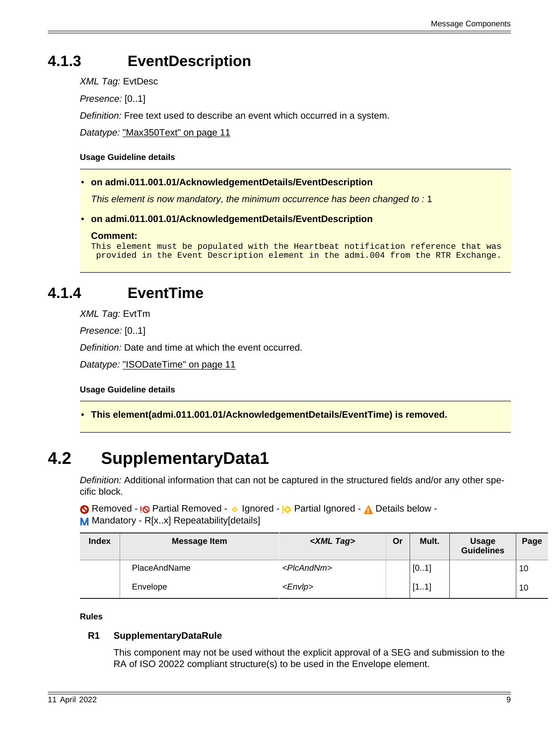## <span id="page-8-3"></span>**4.1.3 EventDescription**

XML Tag: EvtDesc

Presence: [0..1]

Definition: Free text used to describe an event which occurred in a system.

Datatype: ["Max350Text" on page 11](#page-10-2)

#### **Usage Guideline details**

<span id="page-8-1"></span>• **on admi.011.001.01/AcknowledgementDetails/EventDescription**

This element is now mandatory, the minimum occurrence has been changed to : 1

<span id="page-8-2"></span>• **on admi.011.001.01/AcknowledgementDetails/EventDescription**

```
Comment:
```

```
This element must be populated with the Heartbeat notification reference that was
 provided in the Event Description element in the admi.004 from the RTR Exchange.
```
### <span id="page-8-4"></span>**4.1.4 EventTime**

XML Tag: EvtTm

Presence: [0..1]

Definition: Date and time at which the event occurred.

Datatype: ["ISODateTime" on page 11](#page-10-3)

**Usage Guideline details**

<span id="page-8-0"></span>• **This element(admi.011.001.01/AcknowledgementDetails/EventTime) is removed.**

# <span id="page-8-5"></span>**4.2 SupplementaryData1**

Definition: Additional information that can not be captured in the structured fields and/or any other specific block.

Removed - <sub>!</sub>© Partial Removed - 
o Ignored - <sup>1</sup>

<sub>2</sub> Partial Ignored - 
<sub>1</sub>

<sub>2</sub> Details below -

M Mandatory - R[x..x] Repeatability[details]

| <b>Index</b> | <b>Message Item</b> | <xml tag=""></xml>    | Or | Mult. | <b>Usage</b><br><b>Guidelines</b> | Page |
|--------------|---------------------|-----------------------|----|-------|-----------------------------------|------|
|              | PlaceAndName        | <picandnm></picandnm> |    | [01]  |                                   | 10   |
|              | Envelope            | $<$ <i>Envip</i> $>$  |    | [11]  |                                   | 10   |

#### **Rules**

#### **R1 SupplementaryDataRule**

This component may not be used without the explicit approval of a SEG and submission to the RA of ISO 20022 compliant structure(s) to be used in the Envelope element.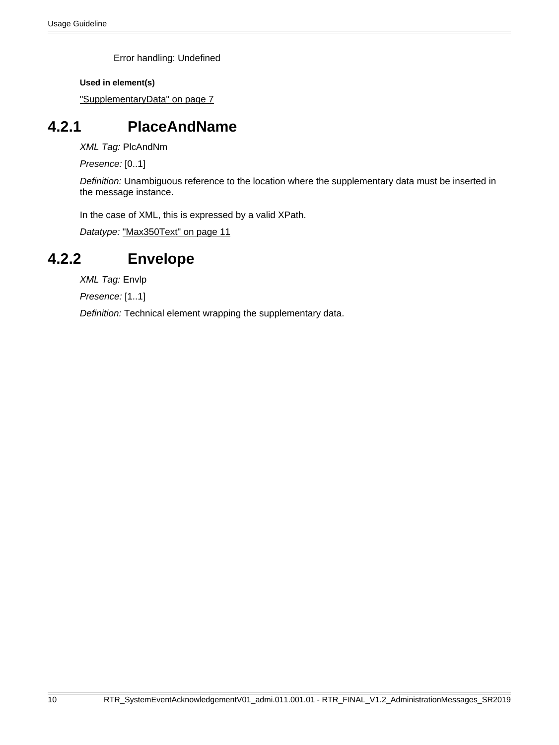Error handling: Undefined

**Used in element(s)**

["SupplementaryData" on page 7](#page-6-2)

### <span id="page-9-0"></span>**4.2.1 PlaceAndName**

XML Tag: PlcAndNm

Presence: [0..1]

Definition: Unambiguous reference to the location where the supplementary data must be inserted in the message instance.

In the case of XML, this is expressed by a valid XPath.

Datatype: ["Max350Text" on page 11](#page-10-2)

### <span id="page-9-1"></span>**4.2.2 Envelope**

XML Tag: Envlp

Presence: [1..1]

Definition: Technical element wrapping the supplementary data.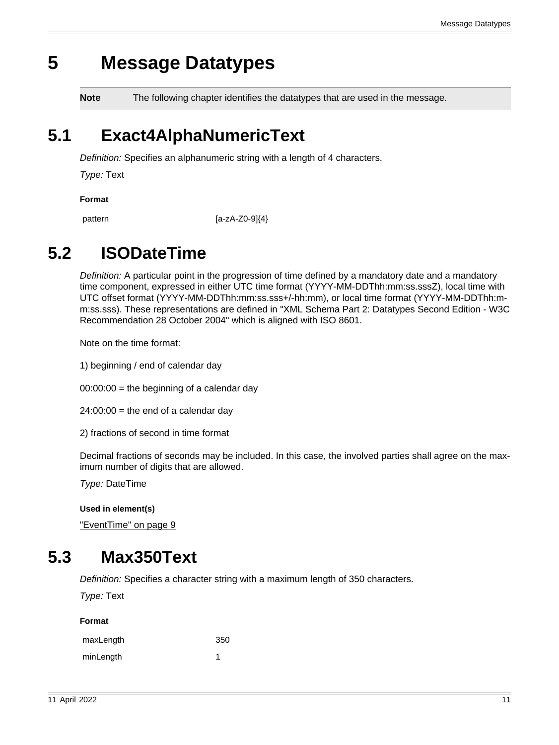# <span id="page-10-0"></span>**5 Message Datatypes**

**Note** The following chapter identifies the datatypes that are used in the message.

# <span id="page-10-1"></span>**5.1 Exact4AlphaNumericText**

Definition: Specifies an alphanumeric string with a length of 4 characters.

Type: Text

**Format**

pattern [a-zA-Z0-9]{4}

# <span id="page-10-3"></span>**5.2 ISODateTime**

Definition: A particular point in the progression of time defined by a mandatory date and a mandatory time component, expressed in either UTC time format (YYYY-MM-DDThh:mm:ss.sssZ), local time with UTC offset format (YYYY-MM-DDThh:mm:ss.sss+/-hh:mm), or local time format (YYYY-MM-DDThh:mm:ss.sss). These representations are defined in "XML Schema Part 2: Datatypes Second Edition - W3C Recommendation 28 October 2004" which is aligned with ISO 8601.

Note on the time format:

1) beginning / end of calendar day

 $00:00:00 =$  the beginning of a calendar day

 $24:00:00 =$  the end of a calendar day

2) fractions of second in time format

Decimal fractions of seconds may be included. In this case, the involved parties shall agree on the maximum number of digits that are allowed.

Type: DateTime

**Used in element(s)**

["EventTime" on page 9](#page-8-4)

# <span id="page-10-2"></span>**5.3 Max350Text**

Definition: Specifies a character string with a maximum length of 350 characters.

Type: Text

| maxLength | 350 |
|-----------|-----|
| minLength |     |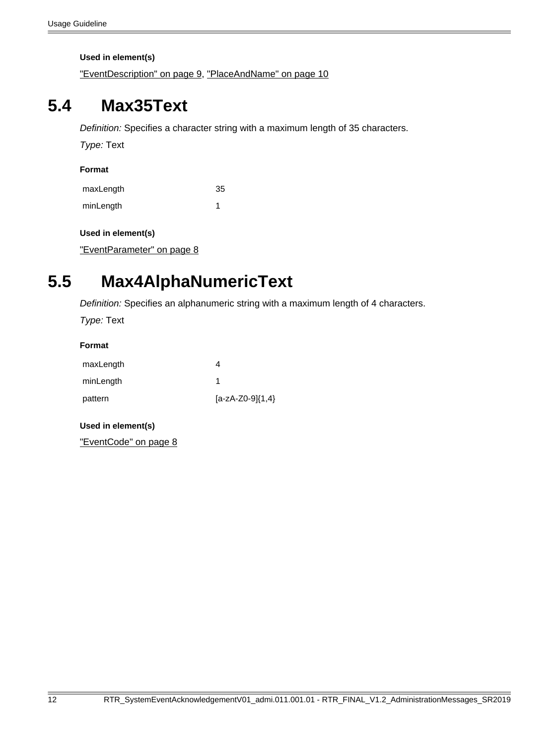**Used in element(s)**

["EventDescription" on page 9,](#page-8-3) ["PlaceAndName" on page 10](#page-9-0)

## <span id="page-11-0"></span>**5.4 Max35Text**

Definition: Specifies a character string with a maximum length of 35 characters.

Type: Text

#### **Format**

| maxLength | 35 |
|-----------|----|
| minLength |    |

#### **Used in element(s)**

["EventParameter" on page 8](#page-7-4)

# <span id="page-11-1"></span>**5.5 Max4AlphaNumericText**

Definition: Specifies an alphanumeric string with a maximum length of 4 characters.

Type: Text

#### **Format**

| maxLength |                      |
|-----------|----------------------|
| minLength |                      |
| pattern   | $[a-zA-Z0-9]\{1,4\}$ |

#### **Used in element(s)**

["EventCode" on page 8](#page-7-3)